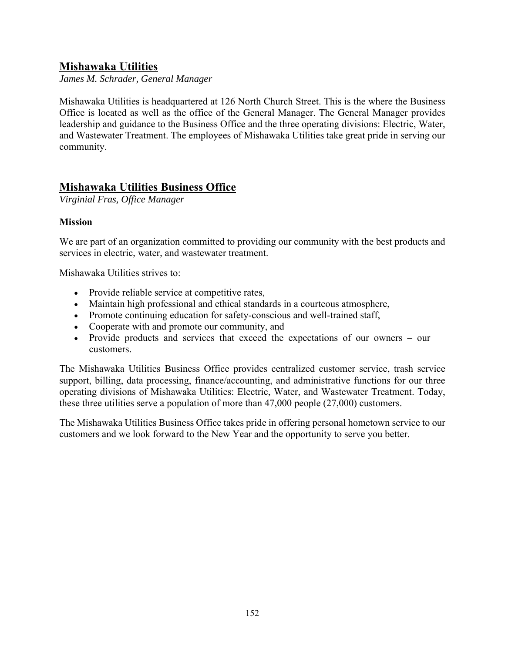# **Mishawaka Utilities**

*James M. Schrader, General Manager* 

Mishawaka Utilities is headquartered at 126 North Church Street. This is the where the Business Office is located as well as the office of the General Manager. The General Manager provides leadership and guidance to the Business Office and the three operating divisions: Electric, Water, and Wastewater Treatment. The employees of Mishawaka Utilities take great pride in serving our community.

# **Mishawaka Utilities Business Office**

*Virginial Fras, Office Manager* 

## **Mission**

We are part of an organization committed to providing our community with the best products and services in electric, water, and wastewater treatment.

Mishawaka Utilities strives to:

- Provide reliable service at competitive rates,
- Maintain high professional and ethical standards in a courteous atmosphere,
- Promote continuing education for safety-conscious and well-trained staff,
- Cooperate with and promote our community, and
- Provide products and services that exceed the expectations of our owners our customers.

The Mishawaka Utilities Business Office provides centralized customer service, trash service support, billing, data processing, finance/accounting, and administrative functions for our three operating divisions of Mishawaka Utilities: Electric, Water, and Wastewater Treatment. Today, these three utilities serve a population of more than 47,000 people (27,000) customers.

The Mishawaka Utilities Business Office takes pride in offering personal hometown service to our customers and we look forward to the New Year and the opportunity to serve you better.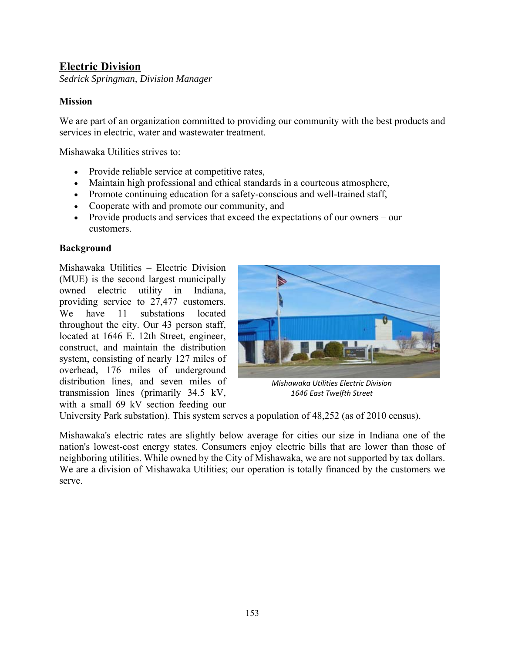# **Electric Division**

*Sedrick Springman, Division Manager* 

## **Mission**

We are part of an organization committed to providing our community with the best products and services in electric, water and wastewater treatment.

Mishawaka Utilities strives to:

- Provide reliable service at competitive rates,
- Maintain high professional and ethical standards in a courteous atmosphere,
- Promote continuing education for a safety-conscious and well-trained staff,
- Cooperate with and promote our community, and
- Provide products and services that exceed the expectations of our owners our customers.

#### **Background**

Mishawaka Utilities – Electric Division (MUE) is the second largest municipally owned electric utility in Indiana, providing service to 27,477 customers. We have 11 substations located throughout the city. Our 43 person staff, located at 1646 E. 12th Street, engineer, construct, and maintain the distribution system, consisting of nearly 127 miles of overhead, 176 miles of underground distribution lines, and seven miles of transmission lines (primarily 34.5 kV, with a small 69 kV section feeding our



*Mishawaka Utilities Electric Division 1646 East Twelfth Street* 

University Park substation). This system serves a population of 48,252 (as of 2010 census).

Mishawaka's electric rates are slightly below average for cities our size in Indiana one of the nation's lowest-cost energy states. Consumers enjoy electric bills that are lower than those of neighboring utilities. While owned by the City of Mishawaka, we are not supported by tax dollars. We are a division of Mishawaka Utilities; our operation is totally financed by the customers we serve.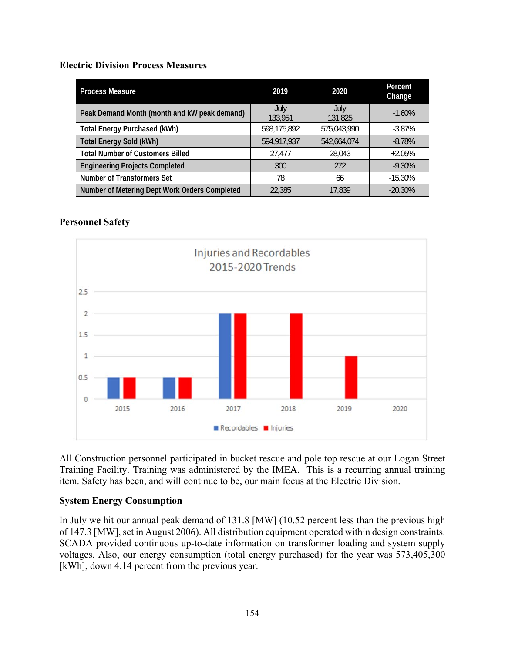#### **Electric Division Process Measures**

| <b>Process Measure</b>                        | 2019            | 2020            | Percent<br>Change |
|-----------------------------------------------|-----------------|-----------------|-------------------|
| Peak Demand Month (month and kW peak demand)  | July<br>133,951 | July<br>131,825 | $-1.60\%$         |
| <b>Total Energy Purchased (kWh)</b>           | 598,175,892     | 575,043,990     | $-3.87\%$         |
| <b>Total Energy Sold (kWh)</b>                | 594,917,937     | 542,664,074     | $-8.78%$          |
| <b>Total Number of Customers Billed</b>       | 27,477          | 28.043          | $+2.05%$          |
| <b>Engineering Projects Completed</b>         | 300             | 272             | $-9.30\%$         |
| Number of Transformers Set                    | 78              | 66              | $-15.30\%$        |
| Number of Metering Dept Work Orders Completed | 22,385          | 17,839          | $-20.30\%$        |

## **Personnel Safety**



All Construction personnel participated in bucket rescue and pole top rescue at our Logan Street Training Facility. Training was administered by the IMEA. This is a recurring annual training item. Safety has been, and will continue to be, our main focus at the Electric Division.

## **System Energy Consumption**

In July we hit our annual peak demand of 131.8 [MW] (10.52 percent less than the previous high of 147.3 [MW], set in August 2006). All distribution equipment operated within design constraints. SCADA provided continuous up-to-date information on transformer loading and system supply voltages. Also, our energy consumption (total energy purchased) for the year was 573,405,300 [kWh], down 4.14 percent from the previous year.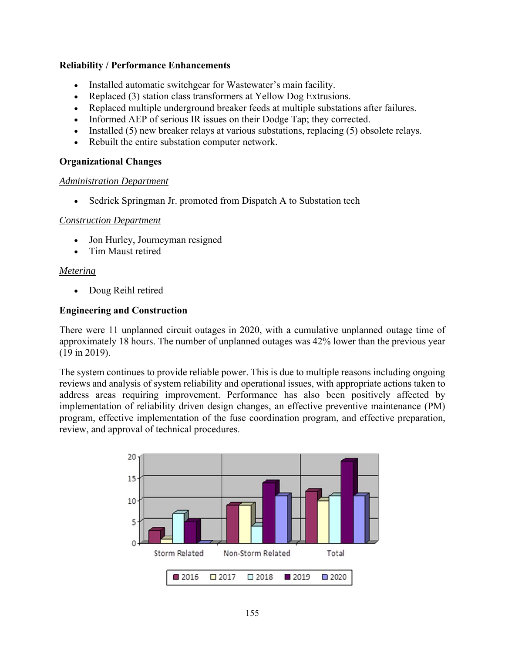#### **Reliability / Performance Enhancements**

- Installed automatic switchgear for Wastewater's main facility.
- Replaced (3) station class transformers at Yellow Dog Extrusions.
- Replaced multiple underground breaker feeds at multiple substations after failures.
- Informed AEP of serious IR issues on their Dodge Tap; they corrected.
- Installed  $(5)$  new breaker relays at various substations, replacing  $(5)$  obsolete relays.
- Rebuilt the entire substation computer network.

#### **Organizational Changes**

#### *Administration Department*

• Sedrick Springman Jr. promoted from Dispatch A to Substation tech

#### *Construction Department*

- Jon Hurley, Journeyman resigned
- Tim Maust retired

#### *Metering*

• Doug Reihl retired

#### **Engineering and Construction**

There were 11 unplanned circuit outages in 2020, with a cumulative unplanned outage time of approximately 18 hours. The number of unplanned outages was 42% lower than the previous year (19 in 2019).

The system continues to provide reliable power. This is due to multiple reasons including ongoing reviews and analysis of system reliability and operational issues, with appropriate actions taken to address areas requiring improvement. Performance has also been positively affected by implementation of reliability driven design changes, an effective preventive maintenance (PM) program, effective implementation of the fuse coordination program, and effective preparation, review, and approval of technical procedures.

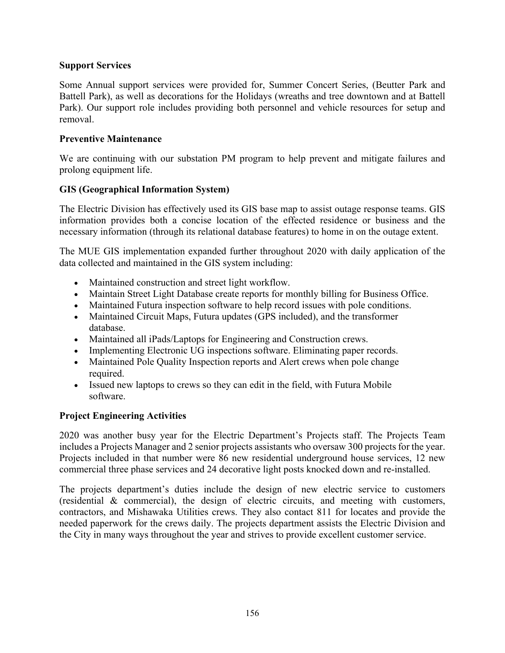## **Support Services**

Some Annual support services were provided for, Summer Concert Series, (Beutter Park and Battell Park), as well as decorations for the Holidays (wreaths and tree downtown and at Battell Park). Our support role includes providing both personnel and vehicle resources for setup and removal.

#### **Preventive Maintenance**

We are continuing with our substation PM program to help prevent and mitigate failures and prolong equipment life.

#### **GIS (Geographical Information System)**

The Electric Division has effectively used its GIS base map to assist outage response teams. GIS information provides both a concise location of the effected residence or business and the necessary information (through its relational database features) to home in on the outage extent.

The MUE GIS implementation expanded further throughout 2020 with daily application of the data collected and maintained in the GIS system including:

- Maintained construction and street light workflow.
- Maintain Street Light Database create reports for monthly billing for Business Office.
- Maintained Futura inspection software to help record issues with pole conditions.
- Maintained Circuit Maps, Futura updates (GPS included), and the transformer database.
- Maintained all iPads/Laptops for Engineering and Construction crews.
- Implementing Electronic UG inspections software. Eliminating paper records.
- Maintained Pole Quality Inspection reports and Alert crews when pole change required.
- Issued new laptops to crews so they can edit in the field, with Futura Mobile software.

## **Project Engineering Activities**

2020 was another busy year for the Electric Department's Projects staff. The Projects Team includes a Projects Manager and 2 senior projects assistants who oversaw 300 projects for the year. Projects included in that number were 86 new residential underground house services, 12 new commercial three phase services and 24 decorative light posts knocked down and re-installed.

The projects department's duties include the design of new electric service to customers (residential & commercial), the design of electric circuits, and meeting with customers, contractors, and Mishawaka Utilities crews. They also contact 811 for locates and provide the needed paperwork for the crews daily. The projects department assists the Electric Division and the City in many ways throughout the year and strives to provide excellent customer service.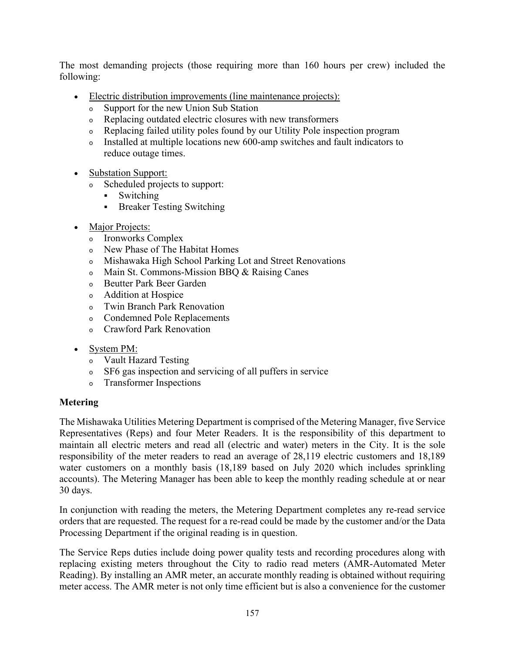The most demanding projects (those requiring more than 160 hours per crew) included the following:

- Electric distribution improvements (line maintenance projects):
	- <sup>o</sup> Support for the new Union Sub Station
	- <sup>o</sup> Replacing outdated electric closures with new transformers
	- <sup>o</sup> Replacing failed utility poles found by our Utility Pole inspection program
	- <sup>o</sup> Installed at multiple locations new 600-amp switches and fault indicators to reduce outage times.
- Substation Support:
	- <sup>o</sup> Scheduled projects to support:
		- Switching
		- **Breaker Testing Switching**
- Major Projects:
	- <sup>o</sup> Ironworks Complex
	- <sup>o</sup> New Phase of The Habitat Homes
	- <sup>o</sup> Mishawaka High School Parking Lot and Street Renovations
	- <sup>o</sup> Main St. Commons-Mission BBQ & Raising Canes
	- <sup>o</sup> Beutter Park Beer Garden
	- <sup>o</sup> Addition at Hospice
	- <sup>o</sup> Twin Branch Park Renovation
	- <sup>o</sup> Condemned Pole Replacements
	- <sup>o</sup> Crawford Park Renovation
- System PM:
	- <sup>o</sup> Vault Hazard Testing
	- <sup>o</sup> SF6 gas inspection and servicing of all puffers in service
	- <sup>o</sup> Transformer Inspections

#### **Metering**

The Mishawaka Utilities Metering Department is comprised of the Metering Manager, five Service Representatives (Reps) and four Meter Readers. It is the responsibility of this department to maintain all electric meters and read all (electric and water) meters in the City. It is the sole responsibility of the meter readers to read an average of 28,119 electric customers and 18,189 water customers on a monthly basis (18,189 based on July 2020 which includes sprinkling accounts). The Metering Manager has been able to keep the monthly reading schedule at or near 30 days.

In conjunction with reading the meters, the Metering Department completes any re-read service orders that are requested. The request for a re-read could be made by the customer and/or the Data Processing Department if the original reading is in question.

The Service Reps duties include doing power quality tests and recording procedures along with replacing existing meters throughout the City to radio read meters (AMR-Automated Meter Reading). By installing an AMR meter, an accurate monthly reading is obtained without requiring meter access. The AMR meter is not only time efficient but is also a convenience for the customer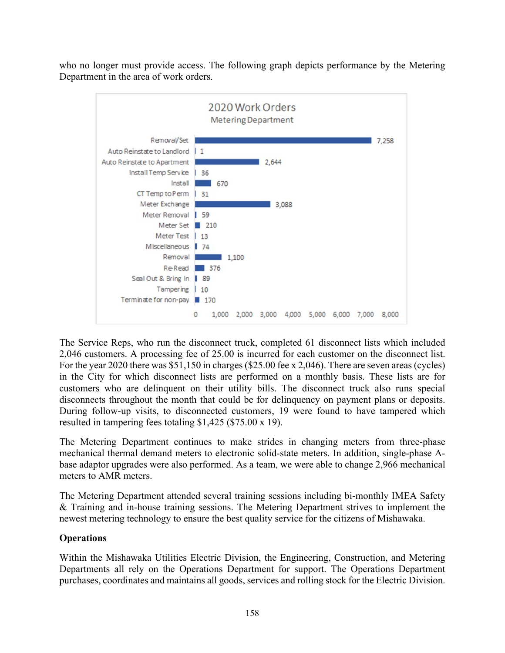who no longer must provide access. The following graph depicts performance by the Metering Department in the area of work orders.



The Service Reps, who run the disconnect truck, completed 61 disconnect lists which included 2,046 customers. A processing fee of 25.00 is incurred for each customer on the disconnect list. For the year 2020 there was \$51,150 in charges (\$25.00 fee x 2,046). There are seven areas (cycles) in the City for which disconnect lists are performed on a monthly basis. These lists are for customers who are delinquent on their utility bills. The disconnect truck also runs special disconnects throughout the month that could be for delinquency on payment plans or deposits. During follow-up visits, to disconnected customers, 19 were found to have tampered which resulted in tampering fees totaling \$1,425 (\$75.00 x 19).

The Metering Department continues to make strides in changing meters from three-phase mechanical thermal demand meters to electronic solid-state meters. In addition, single-phase Abase adaptor upgrades were also performed. As a team, we were able to change 2,966 mechanical meters to AMR meters.

The Metering Department attended several training sessions including bi-monthly IMEA Safety & Training and in-house training sessions. The Metering Department strives to implement the newest metering technology to ensure the best quality service for the citizens of Mishawaka.

# **Operations**

Within the Mishawaka Utilities Electric Division, the Engineering, Construction, and Metering Departments all rely on the Operations Department for support. The Operations Department purchases, coordinates and maintains all goods, services and rolling stock for the Electric Division.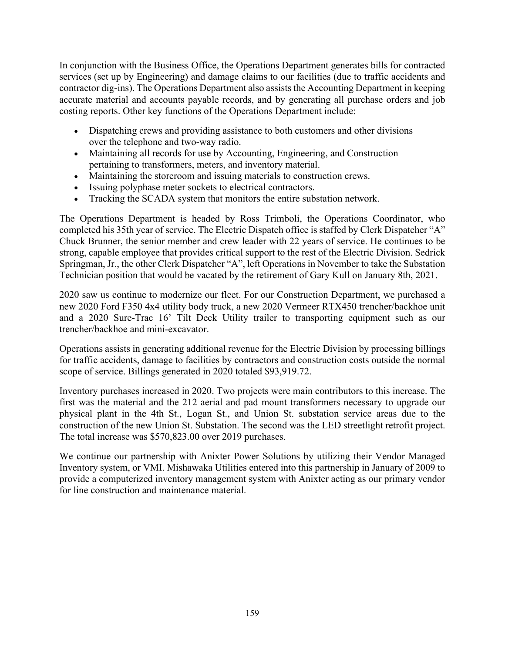In conjunction with the Business Office, the Operations Department generates bills for contracted services (set up by Engineering) and damage claims to our facilities (due to traffic accidents and contractor dig-ins). The Operations Department also assists the Accounting Department in keeping accurate material and accounts payable records, and by generating all purchase orders and job costing reports. Other key functions of the Operations Department include:

- Dispatching crews and providing assistance to both customers and other divisions over the telephone and two-way radio.
- Maintaining all records for use by Accounting, Engineering, and Construction pertaining to transformers, meters, and inventory material.
- Maintaining the storeroom and issuing materials to construction crews.
- Issuing polyphase meter sockets to electrical contractors.
- Tracking the SCADA system that monitors the entire substation network.

The Operations Department is headed by Ross Trimboli, the Operations Coordinator, who completed his 35th year of service. The Electric Dispatch office is staffed by Clerk Dispatcher "A" Chuck Brunner, the senior member and crew leader with 22 years of service. He continues to be strong, capable employee that provides critical support to the rest of the Electric Division. Sedrick Springman, Jr., the other Clerk Dispatcher "A", left Operations in November to take the Substation Technician position that would be vacated by the retirement of Gary Kull on January 8th, 2021.

2020 saw us continue to modernize our fleet. For our Construction Department, we purchased a new 2020 Ford F350 4x4 utility body truck, a new 2020 Vermeer RTX450 trencher/backhoe unit and a 2020 Sure-Trac 16' Tilt Deck Utility trailer to transporting equipment such as our trencher/backhoe and mini-excavator.

Operations assists in generating additional revenue for the Electric Division by processing billings for traffic accidents, damage to facilities by contractors and construction costs outside the normal scope of service. Billings generated in 2020 totaled \$93,919.72.

Inventory purchases increased in 2020. Two projects were main contributors to this increase. The first was the material and the 212 aerial and pad mount transformers necessary to upgrade our physical plant in the 4th St., Logan St., and Union St. substation service areas due to the construction of the new Union St. Substation. The second was the LED streetlight retrofit project. The total increase was \$570,823.00 over 2019 purchases.

We continue our partnership with Anixter Power Solutions by utilizing their Vendor Managed Inventory system, or VMI. Mishawaka Utilities entered into this partnership in January of 2009 to provide a computerized inventory management system with Anixter acting as our primary vendor for line construction and maintenance material.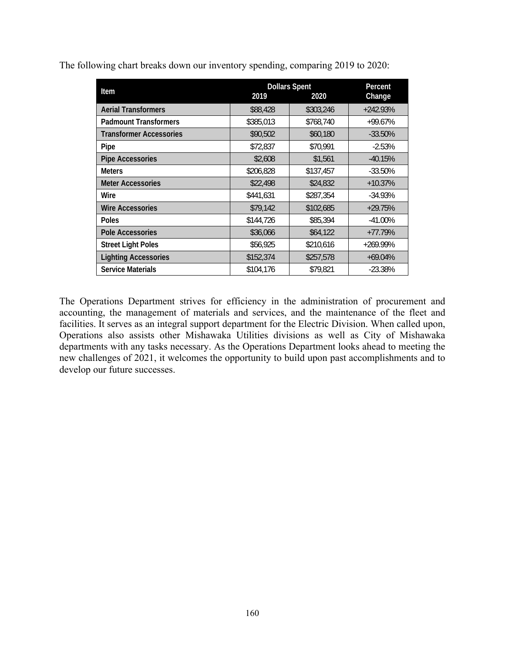|  |  | The following chart breaks down our inventory spending, comparing 2019 to 2020: |  |
|--|--|---------------------------------------------------------------------------------|--|
|  |  |                                                                                 |  |

| Item                           | 2019      | <b>Dollars Spent</b><br>2020 | Percent<br>Change |
|--------------------------------|-----------|------------------------------|-------------------|
| <b>Aerial Transformers</b>     | \$88,428  | \$303,246                    | $+242.93%$        |
| <b>Padmount Transformers</b>   | \$385,013 | \$768,740                    | +99.67%           |
| <b>Transformer Accessories</b> | \$90,502  | \$60,180                     | $-33.50%$         |
| Pipe                           | \$72,837  | \$70,991                     | $-2.53%$          |
| <b>Pipe Accessories</b>        | \$2,608   | \$1,561                      | $-40.15%$         |
| <b>Meters</b>                  | \$206,828 | \$137,457                    | $-33.50%$         |
| <b>Meter Accessories</b>       | \$22,498  | \$24,832                     | $+10.37%$         |
| Wire                           | \$441,631 | \$287,354                    | $-34.93%$         |
| <b>Wire Accessories</b>        | \$79,142  | \$102,685                    | $+29.75%$         |
| <b>Poles</b>                   | \$144,726 | \$85,394                     | $-41.00\%$        |
| Pole Accessories               | \$36,066  | \$64,122                     | $+77.79%$         |
| <b>Street Light Poles</b>      | \$56,925  | \$210,616                    | $+269.99\%$       |
| <b>Lighting Accessories</b>    | \$152,374 | \$257,578                    | $+69.04%$         |
| <b>Service Materials</b>       | \$104,176 | \$79,821                     | $-23.38%$         |

The Operations Department strives for efficiency in the administration of procurement and accounting, the management of materials and services, and the maintenance of the fleet and facilities. It serves as an integral support department for the Electric Division. When called upon, Operations also assists other Mishawaka Utilities divisions as well as City of Mishawaka departments with any tasks necessary. As the Operations Department looks ahead to meeting the new challenges of 2021, it welcomes the opportunity to build upon past accomplishments and to develop our future successes.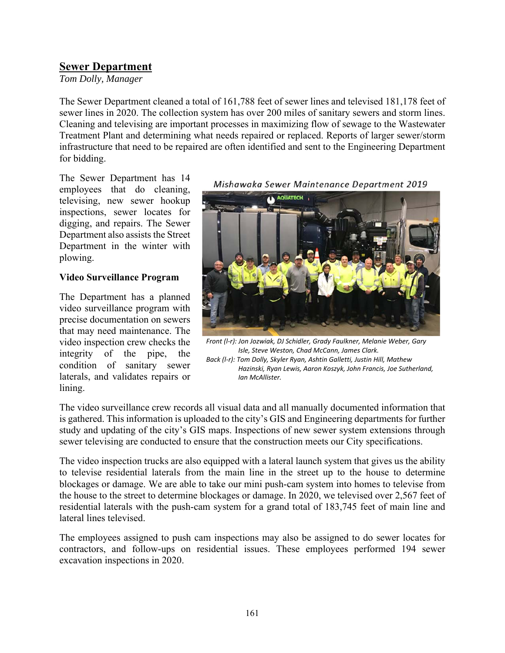# **Sewer Department**

*Tom Dolly, Manager* 

The Sewer Department cleaned a total of 161,788 feet of sewer lines and televised 181,178 feet of sewer lines in 2020. The collection system has over 200 miles of sanitary sewers and storm lines. Cleaning and televising are important processes in maximizing flow of sewage to the Wastewater Treatment Plant and determining what needs repaired or replaced. Reports of larger sewer/storm infrastructure that need to be repaired are often identified and sent to the Engineering Department for bidding.

The Sewer Department has 14 employees that do cleaning, televising, new sewer hookup inspections, sewer locates for digging, and repairs. The Sewer Department also assists the Street Department in the winter with plowing.

#### **Video Surveillance Program**

The Department has a planned video surveillance program with precise documentation on sewers that may need maintenance. The video inspection crew checks the integrity of the pipe, the condition of sanitary sewer laterals, and validates repairs or lining.

Mishawaka Sewer Maintenance Department 2019



*Front (l‐r): Jon Jozwiak, DJ Schidler, Grady Faulkner, Melanie Weber, Gary Isle, Steve Weston, Chad McCann, James Clark. Back (l‐r): Tom Dolly, Skyler Ryan, Ashtin Galletti, Justin Hill, Mathew Hazinski, Ryan Lewis, Aaron Koszyk, John Francis, Joe Sutherland, Ian McAllister.*

The video surveillance crew records all visual data and all manually documented information that is gathered. This information is uploaded to the city's GIS and Engineering departments for further study and updating of the city's GIS maps. Inspections of new sewer system extensions through sewer televising are conducted to ensure that the construction meets our City specifications.

The video inspection trucks are also equipped with a lateral launch system that gives us the ability to televise residential laterals from the main line in the street up to the house to determine blockages or damage. We are able to take our mini push-cam system into homes to televise from the house to the street to determine blockages or damage. In 2020, we televised over 2,567 feet of residential laterals with the push-cam system for a grand total of 183,745 feet of main line and lateral lines televised.

The employees assigned to push cam inspections may also be assigned to do sewer locates for contractors, and follow-ups on residential issues. These employees performed 194 sewer excavation inspections in 2020.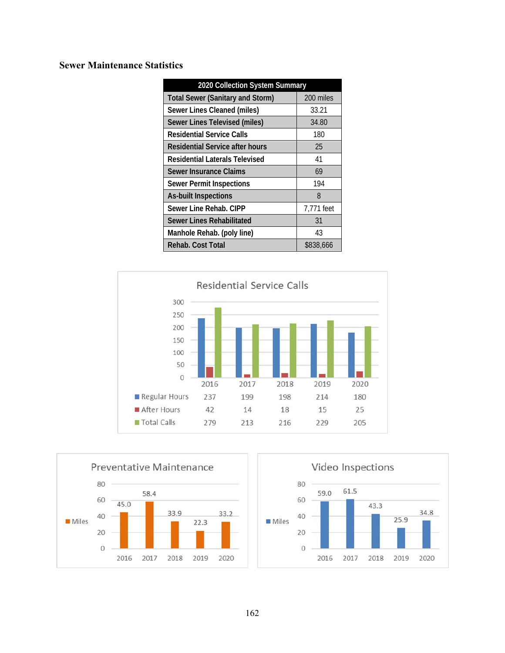# **Sewer Maintenance Statistics**

| 2020 Collection System Summary          |            |  |  |  |  |  |
|-----------------------------------------|------------|--|--|--|--|--|
| <b>Total Sewer (Sanitary and Storm)</b> | 200 miles  |  |  |  |  |  |
| Sewer Lines Cleaned (miles)             | 33.21      |  |  |  |  |  |
| Sewer Lines Televised (miles)           | 34.80      |  |  |  |  |  |
| <b>Residential Service Calls</b>        | 180        |  |  |  |  |  |
| Residential Service after hours         | 25         |  |  |  |  |  |
| <b>Residential Laterals Televised</b>   | 41         |  |  |  |  |  |
| Sewer Insurance Claims                  | 69         |  |  |  |  |  |
| <b>Sewer Permit Inspections</b>         | 194        |  |  |  |  |  |
| <b>As-built Inspections</b>             | 8          |  |  |  |  |  |
| Sewer Line Rehab, CIPP                  | 7,771 feet |  |  |  |  |  |
| Sewer Lines Rehabilitated               | 31         |  |  |  |  |  |
| Manhole Rehab. (poly line)              | 43         |  |  |  |  |  |
| Rehab. Cost Total                       | \$838,666  |  |  |  |  |  |





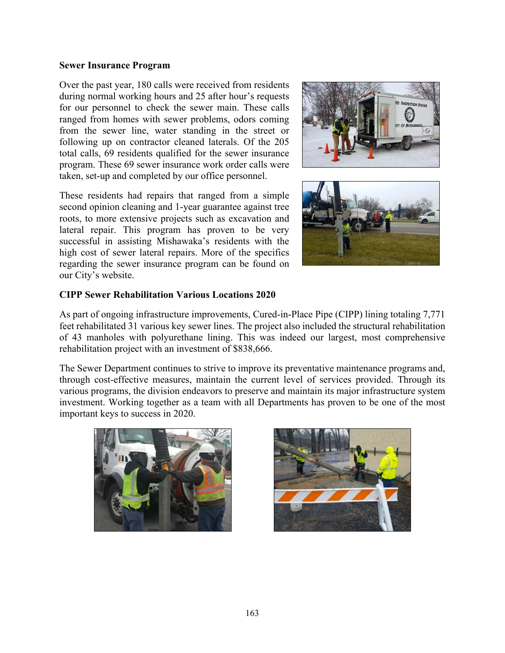#### **Sewer Insurance Program**

Over the past year, 180 calls were received from residents during normal working hours and 25 after hour's requests for our personnel to check the sewer main. These calls ranged from homes with sewer problems, odors coming from the sewer line, water standing in the street or following up on contractor cleaned laterals. Of the 205 total calls, 69 residents qualified for the sewer insurance program. These 69 sewer insurance work order calls were taken, set-up and completed by our office personnel.

These residents had repairs that ranged from a simple second opinion cleaning and 1-year guarantee against tree roots, to more extensive projects such as excavation and lateral repair. This program has proven to be very successful in assisting Mishawaka's residents with the high cost of sewer lateral repairs. More of the specifics regarding the sewer insurance program can be found on our City's website.





#### **CIPP Sewer Rehabilitation Various Locations 2020**

As part of ongoing infrastructure improvements, Cured-in-Place Pipe (CIPP) lining totaling 7,771 feet rehabilitated 31 various key sewer lines. The project also included the structural rehabilitation of 43 manholes with polyurethane lining. This was indeed our largest, most comprehensive rehabilitation project with an investment of \$838,666.

The Sewer Department continues to strive to improve its preventative maintenance programs and, through cost-effective measures, maintain the current level of services provided. Through its various programs, the division endeavors to preserve and maintain its major infrastructure system investment. Working together as a team with all Departments has proven to be one of the most important keys to success in 2020.



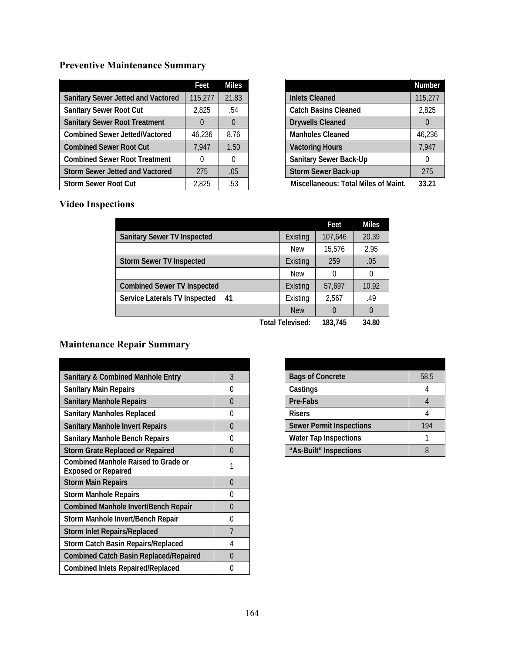# **Preventive Maintenance Summary**

|                                           | Feet          | <b>Miles</b> |
|-------------------------------------------|---------------|--------------|
| <b>Sanitary Sewer Jetted and Vactored</b> | 115,277       | 21.83        |
| <b>Sanitary Sewer Root Cut</b>            | 2,825         | .54          |
| <b>Sanitary Sewer Root Treatment</b>      | $\mathbf{I}$  | $\Omega$     |
| <b>Combined Sewer Jetted/Vactored</b>     | 46.236        | 8.76         |
| <b>Combined Sewer Root Cut</b>            | 7,947         | 1.50         |
| <b>Combined Sewer Root Treatment</b>      | $\mathcal{L}$ | O            |
| <b>Storm Sewer Jetted and Vactored</b>    | 275           | .05          |
| <b>Storm Sewer Root Cut</b>               | 2.825         | .53          |

|                                             | Number  |
|---------------------------------------------|---------|
| <b>Inlets Cleaned</b>                       | 115,277 |
| <b>Catch Basins Cleaned</b>                 | 2,825   |
| <b>Drywells Cleaned</b>                     |         |
| <b>Manholes Cleaned</b>                     | 46,236  |
| <b>Vactoring Hours</b>                      | 7,947   |
| <b>Sanitary Sewer Back-Up</b>               | 0       |
| <b>Storm Sewer Back-up</b>                  | 275     |
| <b>Miscellaneous: Total Miles of Maint.</b> | 33.21   |

# **Video Inspections**

|                                      |                  | Feet          | <b>Miles</b> |
|--------------------------------------|------------------|---------------|--------------|
| <b>Sanitary Sewer TV Inspected</b>   | Existing         | 107.646       | 20.39        |
|                                      | <b>New</b>       | 15,576        | 2.95         |
| <b>Storm Sewer TV Inspected</b>      | Existing         | 259           | .05          |
|                                      | New              | $\mathcal{O}$ | 0            |
| <b>Combined Sewer TV Inspected</b>   | Existing         | 57.697        | 10.92        |
| Service Laterals TV Inspected<br>-41 | Existing         | 2.567         | .49          |
|                                      | <b>New</b>       |               | $\theta$     |
|                                      | Total Televised: | 183.745       | 34.80        |

# **Maintenance Repair Summary**

| <b>Sanitary &amp; Combined Manhole Entry</b><br>3<br><b>Sanitary Main Repairs</b><br>$\left( \right)$<br><b>Sanitary Manhole Repairs</b><br>0<br><b>Sanitary Manholes Replaced</b><br>O<br><b>Sanitary Manhole Invert Repairs</b><br>0<br><b>Sanitary Manhole Bench Repairs</b><br>0<br><b>Storm Grate Replaced or Repaired</b><br>O<br><b>Combined Manhole Raised to Grade or</b><br>1<br><b>Exposed or Repaired</b><br><b>Storm Main Repairs</b><br>0<br><b>Storm Manhole Repairs</b><br>O<br><b>Combined Manhole Invert/Bench Repair</b><br>0 |  |
|--------------------------------------------------------------------------------------------------------------------------------------------------------------------------------------------------------------------------------------------------------------------------------------------------------------------------------------------------------------------------------------------------------------------------------------------------------------------------------------------------------------------------------------------------|--|
|                                                                                                                                                                                                                                                                                                                                                                                                                                                                                                                                                  |  |
|                                                                                                                                                                                                                                                                                                                                                                                                                                                                                                                                                  |  |
|                                                                                                                                                                                                                                                                                                                                                                                                                                                                                                                                                  |  |
|                                                                                                                                                                                                                                                                                                                                                                                                                                                                                                                                                  |  |
|                                                                                                                                                                                                                                                                                                                                                                                                                                                                                                                                                  |  |
|                                                                                                                                                                                                                                                                                                                                                                                                                                                                                                                                                  |  |
|                                                                                                                                                                                                                                                                                                                                                                                                                                                                                                                                                  |  |
|                                                                                                                                                                                                                                                                                                                                                                                                                                                                                                                                                  |  |
|                                                                                                                                                                                                                                                                                                                                                                                                                                                                                                                                                  |  |
|                                                                                                                                                                                                                                                                                                                                                                                                                                                                                                                                                  |  |
|                                                                                                                                                                                                                                                                                                                                                                                                                                                                                                                                                  |  |
|                                                                                                                                                                                                                                                                                                                                                                                                                                                                                                                                                  |  |
| Storm Manhole Invert/Bench Repair<br>O                                                                                                                                                                                                                                                                                                                                                                                                                                                                                                           |  |
| $\overline{7}$<br><b>Storm Inlet Repairs/Replaced</b>                                                                                                                                                                                                                                                                                                                                                                                                                                                                                            |  |
| <b>Storm Catch Basin Repairs/Replaced</b><br>4                                                                                                                                                                                                                                                                                                                                                                                                                                                                                                   |  |
| <b>Combined Catch Basin Replaced/Repaired</b><br>0                                                                                                                                                                                                                                                                                                                                                                                                                                                                                               |  |
| <b>Combined Inlets Repaired/Replaced</b><br>0                                                                                                                                                                                                                                                                                                                                                                                                                                                                                                    |  |

| <b>Bags of Concrete</b>         | 58.5 |
|---------------------------------|------|
| Castings                        |      |
| Pre-Fabs                        |      |
| <b>Risers</b>                   |      |
| <b>Sewer Permit Inspections</b> | 194  |
| <b>Water Tap Inspections</b>    |      |
| "As-Built" Inspections          |      |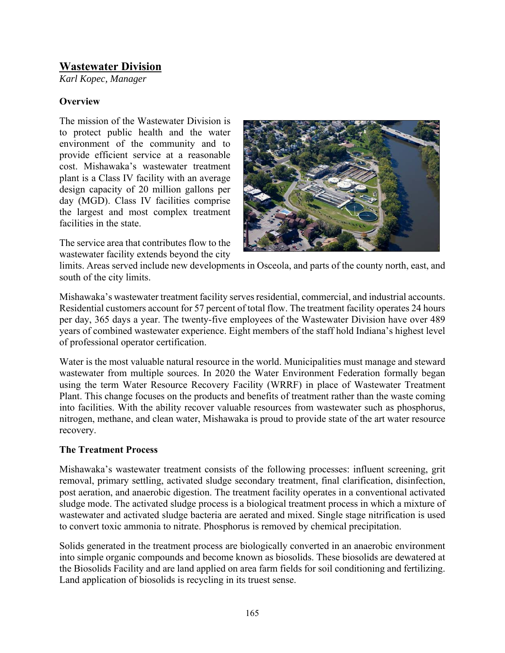# **Wastewater Division**

*Karl Kopec, Manager* 

## **Overview**

The mission of the Wastewater Division is to protect public health and the water environment of the community and to provide efficient service at a reasonable cost. Mishawaka's wastewater treatment plant is a Class IV facility with an average design capacity of 20 million gallons per day (MGD). Class IV facilities comprise the largest and most complex treatment facilities in the state.

The service area that contributes flow to the wastewater facility extends beyond the city



limits. Areas served include new developments in Osceola, and parts of the county north, east, and south of the city limits.

Mishawaka's wastewater treatment facility serves residential, commercial, and industrial accounts. Residential customers account for 57 percent of total flow. The treatment facility operates 24 hours per day, 365 days a year. The twenty-five employees of the Wastewater Division have over 489 years of combined wastewater experience. Eight members of the staff hold Indiana's highest level of professional operator certification.

Water is the most valuable natural resource in the world. Municipalities must manage and steward wastewater from multiple sources. In 2020 the Water Environment Federation formally began using the term Water Resource Recovery Facility (WRRF) in place of Wastewater Treatment Plant. This change focuses on the products and benefits of treatment rather than the waste coming into facilities. With the ability recover valuable resources from wastewater such as phosphorus, nitrogen, methane, and clean water, Mishawaka is proud to provide state of the art water resource recovery.

## **The Treatment Process**

Mishawaka's wastewater treatment consists of the following processes: influent screening, grit removal, primary settling, activated sludge secondary treatment, final clarification, disinfection, post aeration, and anaerobic digestion. The treatment facility operates in a conventional activated sludge mode. The activated sludge process is a biological treatment process in which a mixture of wastewater and activated sludge bacteria are aerated and mixed. Single stage nitrification is used to convert toxic ammonia to nitrate. Phosphorus is removed by chemical precipitation.

Solids generated in the treatment process are biologically converted in an anaerobic environment into simple organic compounds and become known as biosolids. These biosolids are dewatered at the Biosolids Facility and are land applied on area farm fields for soil conditioning and fertilizing. Land application of biosolids is recycling in its truest sense.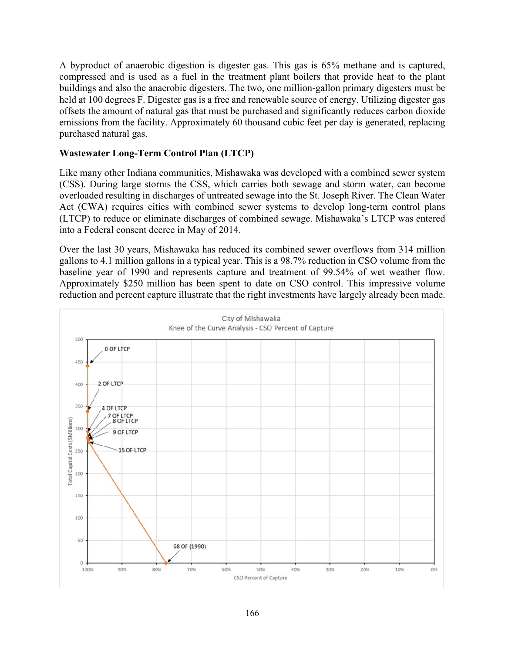A byproduct of anaerobic digestion is digester gas. This gas is 65% methane and is captured, compressed and is used as a fuel in the treatment plant boilers that provide heat to the plant buildings and also the anaerobic digesters. The two, one million-gallon primary digesters must be held at 100 degrees F. Digester gas is a free and renewable source of energy. Utilizing digester gas offsets the amount of natural gas that must be purchased and significantly reduces carbon dioxide emissions from the facility. Approximately 60 thousand cubic feet per day is generated, replacing purchased natural gas.

#### **Wastewater Long-Term Control Plan (LTCP)**

Like many other Indiana communities, Mishawaka was developed with a combined sewer system (CSS). During large storms the CSS, which carries both sewage and storm water, can become overloaded resulting in discharges of untreated sewage into the St. Joseph River. The Clean Water Act (CWA) requires cities with combined sewer systems to develop long-term control plans (LTCP) to reduce or eliminate discharges of combined sewage. Mishawaka's LTCP was entered into a Federal consent decree in May of 2014.

Over the last 30 years, Mishawaka has reduced its combined sewer overflows from 314 million gallons to 4.1 million gallons in a typical year. This is a 98.7% reduction in CSO volume from the baseline year of 1990 and represents capture and treatment of 99.54% of wet weather flow. Approximately \$250 million has been spent to date on CSO control. This impressive volume reduction and percent capture illustrate that the right investments have largely already been made.

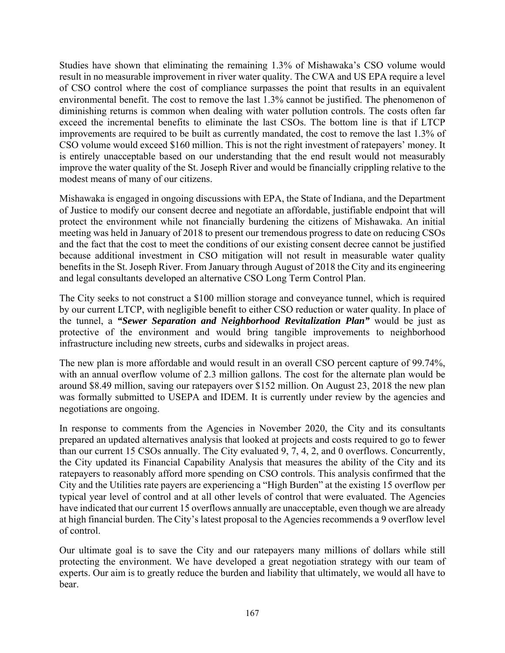Studies have shown that eliminating the remaining 1.3% of Mishawaka's CSO volume would result in no measurable improvement in river water quality. The CWA and US EPA require a level of CSO control where the cost of compliance surpasses the point that results in an equivalent environmental benefit. The cost to remove the last 1.3% cannot be justified. The phenomenon of diminishing returns is common when dealing with water pollution controls. The costs often far exceed the incremental benefits to eliminate the last CSOs. The bottom line is that if LTCP improvements are required to be built as currently mandated, the cost to remove the last 1.3% of CSO volume would exceed \$160 million. This is not the right investment of ratepayers' money. It is entirely unacceptable based on our understanding that the end result would not measurably improve the water quality of the St. Joseph River and would be financially crippling relative to the modest means of many of our citizens.

Mishawaka is engaged in ongoing discussions with EPA, the State of Indiana, and the Department of Justice to modify our consent decree and negotiate an affordable, justifiable endpoint that will protect the environment while not financially burdening the citizens of Mishawaka. An initial meeting was held in January of 2018 to present our tremendous progress to date on reducing CSOs and the fact that the cost to meet the conditions of our existing consent decree cannot be justified because additional investment in CSO mitigation will not result in measurable water quality benefits in the St. Joseph River. From January through August of 2018 the City and its engineering and legal consultants developed an alternative CSO Long Term Control Plan.

The City seeks to not construct a \$100 million storage and conveyance tunnel, which is required by our current LTCP, with negligible benefit to either CSO reduction or water quality. In place of the tunnel, a *"Sewer Separation and Neighborhood Revitalization Plan"* would be just as protective of the environment and would bring tangible improvements to neighborhood infrastructure including new streets, curbs and sidewalks in project areas.

The new plan is more affordable and would result in an overall CSO percent capture of 99.74%, with an annual overflow volume of 2.3 million gallons. The cost for the alternate plan would be around \$8.49 million, saving our ratepayers over \$152 million. On August 23, 2018 the new plan was formally submitted to USEPA and IDEM. It is currently under review by the agencies and negotiations are ongoing.

In response to comments from the Agencies in November 2020, the City and its consultants prepared an updated alternatives analysis that looked at projects and costs required to go to fewer than our current 15 CSOs annually. The City evaluated 9, 7, 4, 2, and 0 overflows. Concurrently, the City updated its Financial Capability Analysis that measures the ability of the City and its ratepayers to reasonably afford more spending on CSO controls. This analysis confirmed that the City and the Utilities rate payers are experiencing a "High Burden" at the existing 15 overflow per typical year level of control and at all other levels of control that were evaluated. The Agencies have indicated that our current 15 overflows annually are unacceptable, even though we are already at high financial burden. The City's latest proposal to the Agencies recommends a 9 overflow level of control.

Our ultimate goal is to save the City and our ratepayers many millions of dollars while still protecting the environment. We have developed a great negotiation strategy with our team of experts. Our aim is to greatly reduce the burden and liability that ultimately, we would all have to bear.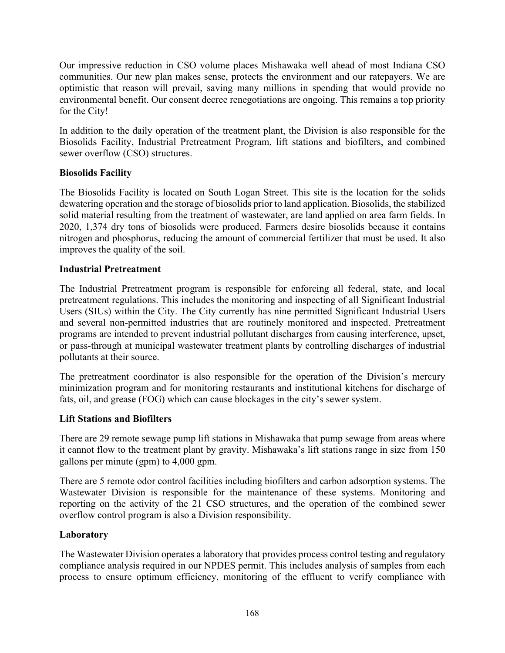Our impressive reduction in CSO volume places Mishawaka well ahead of most Indiana CSO communities. Our new plan makes sense, protects the environment and our ratepayers. We are optimistic that reason will prevail, saving many millions in spending that would provide no environmental benefit. Our consent decree renegotiations are ongoing. This remains a top priority for the City!

In addition to the daily operation of the treatment plant, the Division is also responsible for the Biosolids Facility, Industrial Pretreatment Program, lift stations and biofilters, and combined sewer overflow (CSO) structures.

## **Biosolids Facility**

The Biosolids Facility is located on South Logan Street. This site is the location for the solids dewatering operation and the storage of biosolids prior to land application. Biosolids, the stabilized solid material resulting from the treatment of wastewater, are land applied on area farm fields. In 2020, 1,374 dry tons of biosolids were produced. Farmers desire biosolids because it contains nitrogen and phosphorus, reducing the amount of commercial fertilizer that must be used. It also improves the quality of the soil.

## **Industrial Pretreatment**

The Industrial Pretreatment program is responsible for enforcing all federal, state, and local pretreatment regulations. This includes the monitoring and inspecting of all Significant Industrial Users (SIUs) within the City. The City currently has nine permitted Significant Industrial Users and several non-permitted industries that are routinely monitored and inspected. Pretreatment programs are intended to prevent industrial pollutant discharges from causing interference, upset, or pass-through at municipal wastewater treatment plants by controlling discharges of industrial pollutants at their source.

The pretreatment coordinator is also responsible for the operation of the Division's mercury minimization program and for monitoring restaurants and institutional kitchens for discharge of fats, oil, and grease (FOG) which can cause blockages in the city's sewer system.

## **Lift Stations and Biofilters**

There are 29 remote sewage pump lift stations in Mishawaka that pump sewage from areas where it cannot flow to the treatment plant by gravity. Mishawaka's lift stations range in size from 150 gallons per minute (gpm) to 4,000 gpm.

There are 5 remote odor control facilities including biofilters and carbon adsorption systems. The Wastewater Division is responsible for the maintenance of these systems. Monitoring and reporting on the activity of the 21 CSO structures, and the operation of the combined sewer overflow control program is also a Division responsibility.

#### **Laboratory**

The Wastewater Division operates a laboratory that provides process control testing and regulatory compliance analysis required in our NPDES permit. This includes analysis of samples from each process to ensure optimum efficiency, monitoring of the effluent to verify compliance with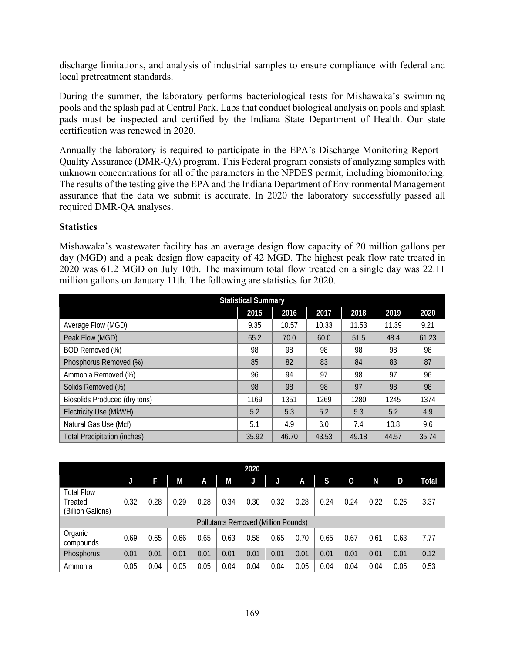discharge limitations, and analysis of industrial samples to ensure compliance with federal and local pretreatment standards.

During the summer, the laboratory performs bacteriological tests for Mishawaka's swimming pools and the splash pad at Central Park. Labs that conduct biological analysis on pools and splash pads must be inspected and certified by the Indiana State Department of Health. Our state certification was renewed in 2020.

Annually the laboratory is required to participate in the EPA's Discharge Monitoring Report - Quality Assurance (DMR-QA) program. This Federal program consists of analyzing samples with unknown concentrations for all of the parameters in the NPDES permit, including biomonitoring. The results of the testing give the EPA and the Indiana Department of Environmental Management assurance that the data we submit is accurate. In 2020 the laboratory successfully passed all required DMR-QA analyses.

## **Statistics**

Mishawaka's wastewater facility has an average design flow capacity of 20 million gallons per day (MGD) and a peak design flow capacity of 42 MGD. The highest peak flow rate treated in 2020 was 61.2 MGD on July 10th. The maximum total flow treated on a single day was 22.11 million gallons on January 11th. The following are statistics for 2020.

| <b>Statistical Summary</b>           |       |       |       |       |       |       |  |  |
|--------------------------------------|-------|-------|-------|-------|-------|-------|--|--|
|                                      | 2015  | 2016  | 2017  | 2018  | 2019  | 2020  |  |  |
| Average Flow (MGD)                   | 9.35  | 10.57 | 10.33 | 11.53 | 11.39 | 9.21  |  |  |
| Peak Flow (MGD)                      | 65.2  | 70.0  | 60.0  | 51.5  | 48.4  | 61.23 |  |  |
| BOD Removed (%)                      | 98    | 98    | 98    | 98    | 98    | 98    |  |  |
| Phosphorus Removed (%)               | 85    | 82    | 83    | 84    | 83    | 87    |  |  |
| Ammonia Removed (%)                  | 96    | 94    | 97    | 98    | 97    | 96    |  |  |
| Solids Removed (%)                   | 98    | 98    | 98    | 97    | 98    | 98    |  |  |
| <b>Biosolids Produced (dry tons)</b> | 1169  | 1351  | 1269  | 1280  | 1245  | 1374  |  |  |
| Electricity Use (MkWH)               | 5.2   | 5.3   | 5.2   | 5.3   | 5.2   | 4.9   |  |  |
| Natural Gas Use (Mcf)                | 5.1   | 4.9   | 6.0   | 7.4   | 10.8  | 9.6   |  |  |
| <b>Total Precipitation (inches)</b>  | 35.92 | 46.70 | 43.53 | 49.18 | 44.57 | 35.74 |  |  |

| 2020                                              |      |      |      |      |      |                                     |      |      |      |                |      |      |       |
|---------------------------------------------------|------|------|------|------|------|-------------------------------------|------|------|------|----------------|------|------|-------|
|                                                   |      | F    | M    | Α    | M    | J                                   | J    | A    | S    | $\overline{0}$ | N    | D    | Total |
| <b>Total Flow</b><br>Treated<br>(Billion Gallons) | 0.32 | 0.28 | 0.29 | 0.28 | 0.34 | 0.30                                | 0.32 | 0.28 | 0.24 | 0.24           | 0.22 | 0.26 | 3.37  |
|                                                   |      |      |      |      |      | Pollutants Removed (Million Pounds) |      |      |      |                |      |      |       |
| Organic<br>compounds                              | 0.69 | 0.65 | 0.66 | 0.65 | 0.63 | 0.58                                | 0.65 | 0.70 | 0.65 | 0.67           | 0.61 | 0.63 | 7.77  |
| Phosphorus                                        | 0.01 | 0.01 | 0.01 | 0.01 | 0.01 | 0.01                                | 0.01 | 0.01 | 0.01 | 0.01           | 0.01 | 0.01 | 0.12  |
| Ammonia                                           | 0.05 | 0.04 | 0.05 | 0.05 | 0.04 | 0.04                                | 0.04 | 0.05 | 0.04 | 0.04           | 0.04 | 0.05 | 0.53  |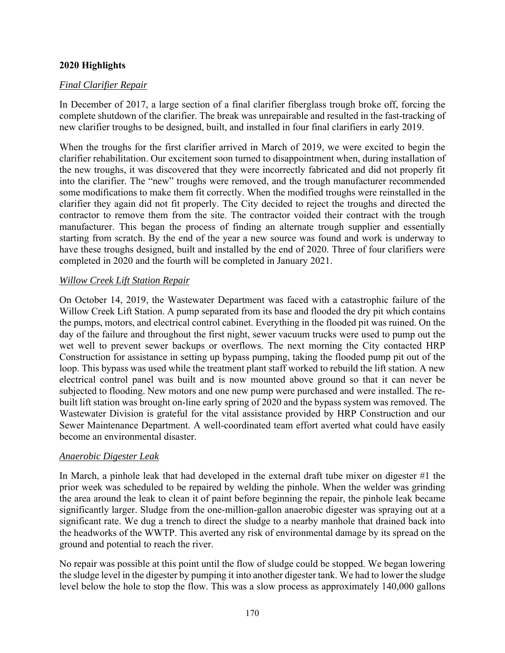## **2020 Highlights**

## *Final Clarifier Repair*

In December of 2017, a large section of a final clarifier fiberglass trough broke off, forcing the complete shutdown of the clarifier. The break was unrepairable and resulted in the fast-tracking of new clarifier troughs to be designed, built, and installed in four final clarifiers in early 2019.

When the troughs for the first clarifier arrived in March of 2019, we were excited to begin the clarifier rehabilitation. Our excitement soon turned to disappointment when, during installation of the new troughs, it was discovered that they were incorrectly fabricated and did not properly fit into the clarifier. The "new" troughs were removed, and the trough manufacturer recommended some modifications to make them fit correctly. When the modified troughs were reinstalled in the clarifier they again did not fit properly. The City decided to reject the troughs and directed the contractor to remove them from the site. The contractor voided their contract with the trough manufacturer. This began the process of finding an alternate trough supplier and essentially starting from scratch. By the end of the year a new source was found and work is underway to have these troughs designed, built and installed by the end of 2020. Three of four clarifiers were completed in 2020 and the fourth will be completed in January 2021.

## *Willow Creek Lift Station Repair*

On October 14, 2019, the Wastewater Department was faced with a catastrophic failure of the Willow Creek Lift Station. A pump separated from its base and flooded the dry pit which contains the pumps, motors, and electrical control cabinet. Everything in the flooded pit was ruined. On the day of the failure and throughout the first night, sewer vacuum trucks were used to pump out the wet well to prevent sewer backups or overflows. The next morning the City contacted HRP Construction for assistance in setting up bypass pumping, taking the flooded pump pit out of the loop. This bypass was used while the treatment plant staff worked to rebuild the lift station. A new electrical control panel was built and is now mounted above ground so that it can never be subjected to flooding. New motors and one new pump were purchased and were installed. The rebuilt lift station was brought on-line early spring of 2020 and the bypass system was removed. The Wastewater Division is grateful for the vital assistance provided by HRP Construction and our Sewer Maintenance Department. A well-coordinated team effort averted what could have easily become an environmental disaster.

## *Anaerobic Digester Leak*

In March, a pinhole leak that had developed in the external draft tube mixer on digester #1 the prior week was scheduled to be repaired by welding the pinhole. When the welder was grinding the area around the leak to clean it of paint before beginning the repair, the pinhole leak became significantly larger. Sludge from the one-million-gallon anaerobic digester was spraying out at a significant rate. We dug a trench to direct the sludge to a nearby manhole that drained back into the headworks of the WWTP. This averted any risk of environmental damage by its spread on the ground and potential to reach the river.

No repair was possible at this point until the flow of sludge could be stopped. We began lowering the sludge level in the digester by pumping it into another digester tank. We had to lower the sludge level below the hole to stop the flow. This was a slow process as approximately 140,000 gallons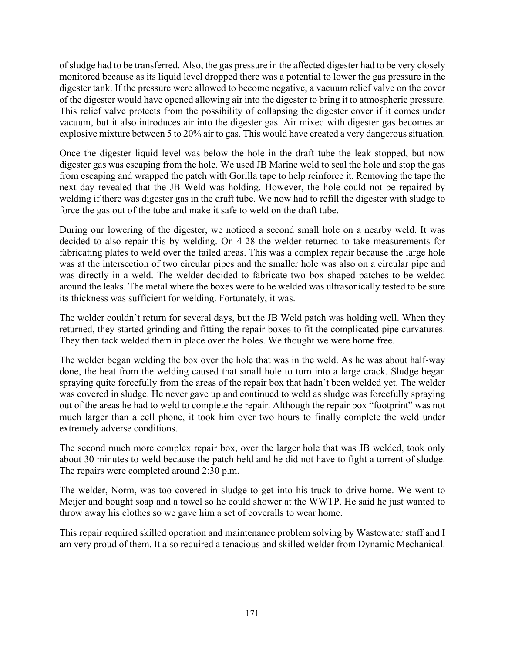of sludge had to be transferred. Also, the gas pressure in the affected digester had to be very closely monitored because as its liquid level dropped there was a potential to lower the gas pressure in the digester tank. If the pressure were allowed to become negative, a vacuum relief valve on the cover of the digester would have opened allowing air into the digester to bring it to atmospheric pressure. This relief valve protects from the possibility of collapsing the digester cover if it comes under vacuum, but it also introduces air into the digester gas. Air mixed with digester gas becomes an explosive mixture between 5 to 20% air to gas. This would have created a very dangerous situation.

Once the digester liquid level was below the hole in the draft tube the leak stopped, but now digester gas was escaping from the hole. We used JB Marine weld to seal the hole and stop the gas from escaping and wrapped the patch with Gorilla tape to help reinforce it. Removing the tape the next day revealed that the JB Weld was holding. However, the hole could not be repaired by welding if there was digester gas in the draft tube. We now had to refill the digester with sludge to force the gas out of the tube and make it safe to weld on the draft tube.

During our lowering of the digester, we noticed a second small hole on a nearby weld. It was decided to also repair this by welding. On 4-28 the welder returned to take measurements for fabricating plates to weld over the failed areas. This was a complex repair because the large hole was at the intersection of two circular pipes and the smaller hole was also on a circular pipe and was directly in a weld. The welder decided to fabricate two box shaped patches to be welded around the leaks. The metal where the boxes were to be welded was ultrasonically tested to be sure its thickness was sufficient for welding. Fortunately, it was.

The welder couldn't return for several days, but the JB Weld patch was holding well. When they returned, they started grinding and fitting the repair boxes to fit the complicated pipe curvatures. They then tack welded them in place over the holes. We thought we were home free.

The welder began welding the box over the hole that was in the weld. As he was about half-way done, the heat from the welding caused that small hole to turn into a large crack. Sludge began spraying quite forcefully from the areas of the repair box that hadn't been welded yet. The welder was covered in sludge. He never gave up and continued to weld as sludge was forcefully spraying out of the areas he had to weld to complete the repair. Although the repair box "footprint" was not much larger than a cell phone, it took him over two hours to finally complete the weld under extremely adverse conditions.

The second much more complex repair box, over the larger hole that was JB welded, took only about 30 minutes to weld because the patch held and he did not have to fight a torrent of sludge. The repairs were completed around 2:30 p.m.

The welder, Norm, was too covered in sludge to get into his truck to drive home. We went to Meijer and bought soap and a towel so he could shower at the WWTP. He said he just wanted to throw away his clothes so we gave him a set of coveralls to wear home.

This repair required skilled operation and maintenance problem solving by Wastewater staff and I am very proud of them. It also required a tenacious and skilled welder from Dynamic Mechanical.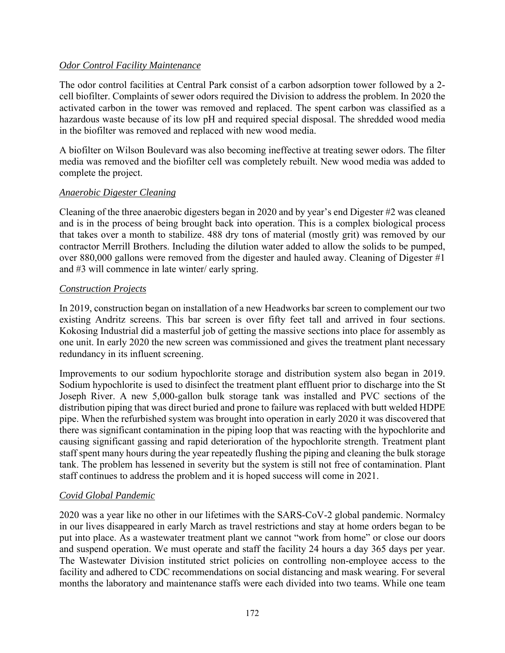#### *Odor Control Facility Maintenance*

The odor control facilities at Central Park consist of a carbon adsorption tower followed by a 2 cell biofilter. Complaints of sewer odors required the Division to address the problem. In 2020 the activated carbon in the tower was removed and replaced. The spent carbon was classified as a hazardous waste because of its low pH and required special disposal. The shredded wood media in the biofilter was removed and replaced with new wood media.

A biofilter on Wilson Boulevard was also becoming ineffective at treating sewer odors. The filter media was removed and the biofilter cell was completely rebuilt. New wood media was added to complete the project.

#### *Anaerobic Digester Cleaning*

Cleaning of the three anaerobic digesters began in 2020 and by year's end Digester #2 was cleaned and is in the process of being brought back into operation. This is a complex biological process that takes over a month to stabilize. 488 dry tons of material (mostly grit) was removed by our contractor Merrill Brothers. Including the dilution water added to allow the solids to be pumped, over 880,000 gallons were removed from the digester and hauled away. Cleaning of Digester #1 and #3 will commence in late winter/ early spring.

#### *Construction Projects*

In 2019, construction began on installation of a new Headworks bar screen to complement our two existing Andritz screens. This bar screen is over fifty feet tall and arrived in four sections. Kokosing Industrial did a masterful job of getting the massive sections into place for assembly as one unit. In early 2020 the new screen was commissioned and gives the treatment plant necessary redundancy in its influent screening.

Improvements to our sodium hypochlorite storage and distribution system also began in 2019. Sodium hypochlorite is used to disinfect the treatment plant effluent prior to discharge into the St Joseph River. A new 5,000-gallon bulk storage tank was installed and PVC sections of the distribution piping that was direct buried and prone to failure was replaced with butt welded HDPE pipe. When the refurbished system was brought into operation in early 2020 it was discovered that there was significant contamination in the piping loop that was reacting with the hypochlorite and causing significant gassing and rapid deterioration of the hypochlorite strength. Treatment plant staff spent many hours during the year repeatedly flushing the piping and cleaning the bulk storage tank. The problem has lessened in severity but the system is still not free of contamination. Plant staff continues to address the problem and it is hoped success will come in 2021.

## *Covid Global Pandemic*

2020 was a year like no other in our lifetimes with the SARS-CoV-2 global pandemic. Normalcy in our lives disappeared in early March as travel restrictions and stay at home orders began to be put into place. As a wastewater treatment plant we cannot "work from home" or close our doors and suspend operation. We must operate and staff the facility 24 hours a day 365 days per year. The Wastewater Division instituted strict policies on controlling non-employee access to the facility and adhered to CDC recommendations on social distancing and mask wearing. For several months the laboratory and maintenance staffs were each divided into two teams. While one team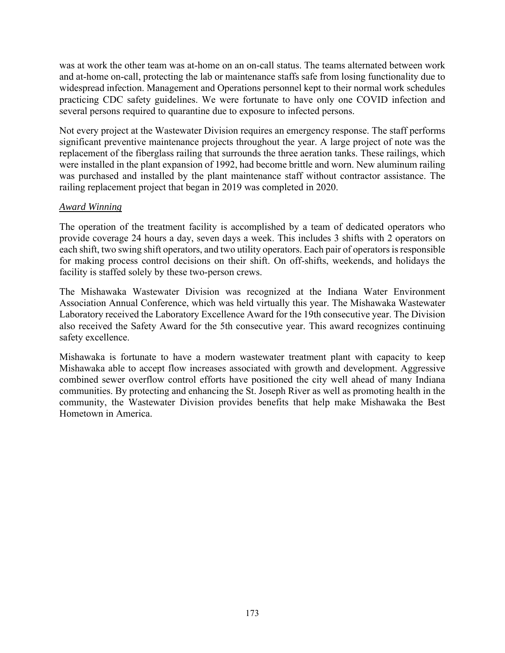was at work the other team was at-home on an on-call status. The teams alternated between work and at-home on-call, protecting the lab or maintenance staffs safe from losing functionality due to widespread infection. Management and Operations personnel kept to their normal work schedules practicing CDC safety guidelines. We were fortunate to have only one COVID infection and several persons required to quarantine due to exposure to infected persons.

Not every project at the Wastewater Division requires an emergency response. The staff performs significant preventive maintenance projects throughout the year. A large project of note was the replacement of the fiberglass railing that surrounds the three aeration tanks. These railings, which were installed in the plant expansion of 1992, had become brittle and worn. New aluminum railing was purchased and installed by the plant maintenance staff without contractor assistance. The railing replacement project that began in 2019 was completed in 2020.

#### *Award Winning*

The operation of the treatment facility is accomplished by a team of dedicated operators who provide coverage 24 hours a day, seven days a week. This includes 3 shifts with 2 operators on each shift, two swing shift operators, and two utility operators. Each pair of operators is responsible for making process control decisions on their shift. On off-shifts, weekends, and holidays the facility is staffed solely by these two-person crews.

The Mishawaka Wastewater Division was recognized at the Indiana Water Environment Association Annual Conference, which was held virtually this year. The Mishawaka Wastewater Laboratory received the Laboratory Excellence Award for the 19th consecutive year. The Division also received the Safety Award for the 5th consecutive year. This award recognizes continuing safety excellence.

Mishawaka is fortunate to have a modern wastewater treatment plant with capacity to keep Mishawaka able to accept flow increases associated with growth and development. Aggressive combined sewer overflow control efforts have positioned the city well ahead of many Indiana communities. By protecting and enhancing the St. Joseph River as well as promoting health in the community, the Wastewater Division provides benefits that help make Mishawaka the Best Hometown in America.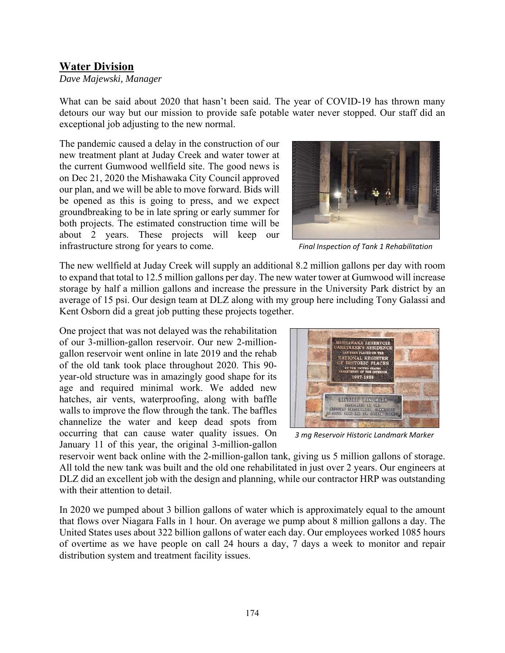# **Water Division**

*Dave Majewski, Manager* 

What can be said about 2020 that hasn't been said. The year of COVID-19 has thrown many detours our way but our mission to provide safe potable water never stopped. Our staff did an exceptional job adjusting to the new normal.

The pandemic caused a delay in the construction of our new treatment plant at Juday Creek and water tower at the current Gumwood wellfield site. The good news is on Dec 21, 2020 the Mishawaka City Council approved our plan, and we will be able to move forward. Bids will be opened as this is going to press, and we expect groundbreaking to be in late spring or early summer for both projects. The estimated construction time will be about 2 years. These projects will keep our infrastructure strong for years to come.



*Final Inspection of Tank 1 Rehabilitation* 

The new wellfield at Juday Creek will supply an additional 8.2 million gallons per day with room to expand that total to 12.5 million gallons per day. The new water tower at Gumwood will increase storage by half a million gallons and increase the pressure in the University Park district by an average of 15 psi. Our design team at DLZ along with my group here including Tony Galassi and Kent Osborn did a great job putting these projects together.

One project that was not delayed was the rehabilitation of our 3-million-gallon reservoir. Our new 2-milliongallon reservoir went online in late 2019 and the rehab of the old tank took place throughout 2020. This 90 year-old structure was in amazingly good shape for its age and required minimal work. We added new hatches, air vents, waterproofing, along with baffle walls to improve the flow through the tank. The baffles channelize the water and keep dead spots from occurring that can cause water quality issues. On January 11 of this year, the original 3-million-gallon



*3 mg Reservoir Historic Landmark Marker* 

reservoir went back online with the 2-million-gallon tank, giving us 5 million gallons of storage. All told the new tank was built and the old one rehabilitated in just over 2 years. Our engineers at DLZ did an excellent job with the design and planning, while our contractor HRP was outstanding with their attention to detail.

In 2020 we pumped about 3 billion gallons of water which is approximately equal to the amount that flows over Niagara Falls in 1 hour. On average we pump about 8 million gallons a day. The United States uses about 322 billion gallons of water each day. Our employees worked 1085 hours of overtime as we have people on call 24 hours a day, 7 days a week to monitor and repair distribution system and treatment facility issues.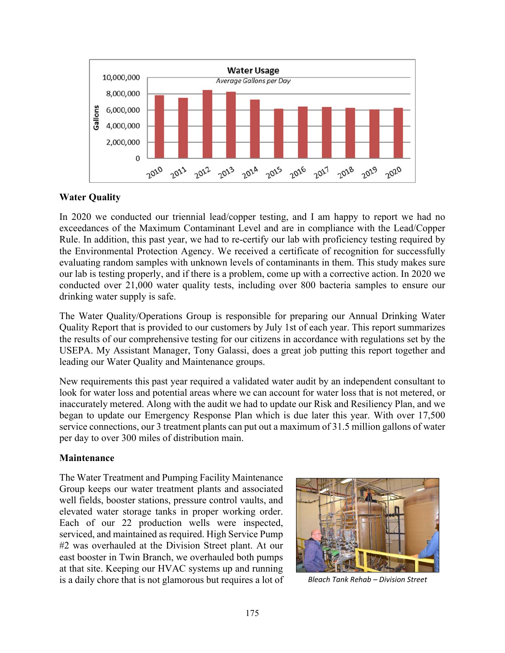

## **Water Quality**

In 2020 we conducted our triennial lead/copper testing, and I am happy to report we had no exceedances of the Maximum Contaminant Level and are in compliance with the Lead/Copper Rule. In addition, this past year, we had to re-certify our lab with proficiency testing required by the Environmental Protection Agency. We received a certificate of recognition for successfully evaluating random samples with unknown levels of contaminants in them. This study makes sure our lab is testing properly, and if there is a problem, come up with a corrective action. In 2020 we conducted over 21,000 water quality tests, including over 800 bacteria samples to ensure our drinking water supply is safe.

The Water Quality/Operations Group is responsible for preparing our Annual Drinking Water Quality Report that is provided to our customers by July 1st of each year. This report summarizes the results of our comprehensive testing for our citizens in accordance with regulations set by the USEPA. My Assistant Manager, Tony Galassi, does a great job putting this report together and leading our Water Quality and Maintenance groups.

New requirements this past year required a validated water audit by an independent consultant to look for water loss and potential areas where we can account for water loss that is not metered, or inaccurately metered. Along with the audit we had to update our Risk and Resiliency Plan, and we began to update our Emergency Response Plan which is due later this year. With over 17,500 service connections, our 3 treatment plants can put out a maximum of 31.5 million gallons of water per day to over 300 miles of distribution main.

## **Maintenance**

The Water Treatment and Pumping Facility Maintenance Group keeps our water treatment plants and associated well fields, booster stations, pressure control vaults, and elevated water storage tanks in proper working order. Each of our 22 production wells were inspected, serviced, and maintained as required. High Service Pump #2 was overhauled at the Division Street plant. At our east booster in Twin Branch, we overhauled both pumps at that site. Keeping our HVAC systems up and running is a daily chore that is not glamorous but requires a lot of *Bleach Tank Rehab – Division Street* 

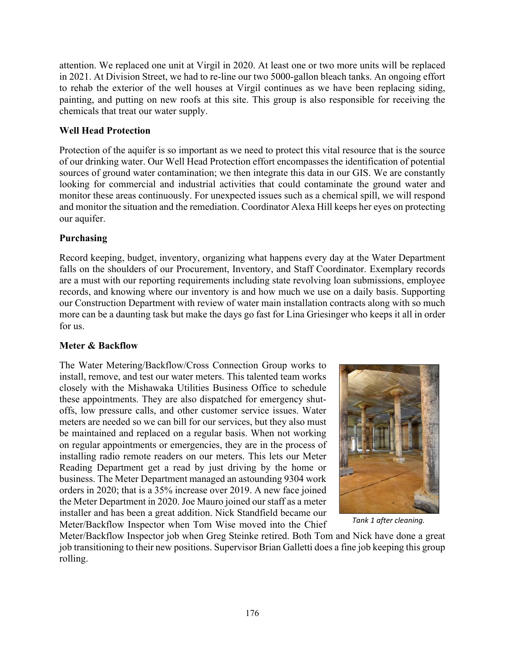attention. We replaced one unit at Virgil in 2020. At least one or two more units will be replaced in 2021. At Division Street, we had to re-line our two 5000-gallon bleach tanks. An ongoing effort to rehab the exterior of the well houses at Virgil continues as we have been replacing siding, painting, and putting on new roofs at this site. This group is also responsible for receiving the chemicals that treat our water supply.

## **Well Head Protection**

Protection of the aquifer is so important as we need to protect this vital resource that is the source of our drinking water. Our Well Head Protection effort encompasses the identification of potential sources of ground water contamination; we then integrate this data in our GIS. We are constantly looking for commercial and industrial activities that could contaminate the ground water and monitor these areas continuously. For unexpected issues such as a chemical spill, we will respond and monitor the situation and the remediation. Coordinator Alexa Hill keeps her eyes on protecting our aquifer.

## **Purchasing**

Record keeping, budget, inventory, organizing what happens every day at the Water Department falls on the shoulders of our Procurement, Inventory, and Staff Coordinator. Exemplary records are a must with our reporting requirements including state revolving loan submissions, employee records, and knowing where our inventory is and how much we use on a daily basis. Supporting our Construction Department with review of water main installation contracts along with so much more can be a daunting task but make the days go fast for Lina Griesinger who keeps it all in order for us.

## **Meter & Backflow**

The Water Metering/Backflow/Cross Connection Group works to install, remove, and test our water meters. This talented team works closely with the Mishawaka Utilities Business Office to schedule these appointments. They are also dispatched for emergency shutoffs, low pressure calls, and other customer service issues. Water meters are needed so we can bill for our services, but they also must be maintained and replaced on a regular basis. When not working on regular appointments or emergencies, they are in the process of installing radio remote readers on our meters. This lets our Meter Reading Department get a read by just driving by the home or business. The Meter Department managed an astounding 9304 work orders in 2020; that is a 35% increase over 2019. A new face joined the Meter Department in 2020. Joe Mauro joined our staff as a meter installer and has been a great addition. Nick Standfield became our Meter/Backflow Inspector when Tom Wise moved into the Chief



*Tank 1 after cleaning.* 

Meter/Backflow Inspector job when Greg Steinke retired. Both Tom and Nick have done a great job transitioning to their new positions. Supervisor Brian Galletti does a fine job keeping this group rolling.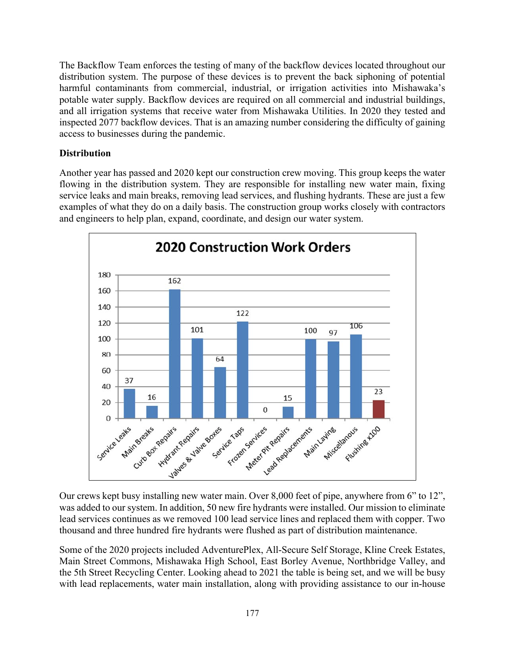The Backflow Team enforces the testing of many of the backflow devices located throughout our distribution system. The purpose of these devices is to prevent the back siphoning of potential harmful contaminants from commercial, industrial, or irrigation activities into Mishawaka's potable water supply. Backflow devices are required on all commercial and industrial buildings, and all irrigation systems that receive water from Mishawaka Utilities. In 2020 they tested and inspected 2077 backflow devices. That is an amazing number considering the difficulty of gaining access to businesses during the pandemic.

## **Distribution**

Another year has passed and 2020 kept our construction crew moving. This group keeps the water flowing in the distribution system. They are responsible for installing new water main, fixing service leaks and main breaks, removing lead services, and flushing hydrants. These are just a few examples of what they do on a daily basis. The construction group works closely with contractors and engineers to help plan, expand, coordinate, and design our water system.



Our crews kept busy installing new water main. Over 8,000 feet of pipe, anywhere from 6" to 12", was added to our system. In addition, 50 new fire hydrants were installed. Our mission to eliminate lead services continues as we removed 100 lead service lines and replaced them with copper. Two thousand and three hundred fire hydrants were flushed as part of distribution maintenance.

Some of the 2020 projects included AdventurePlex, All-Secure Self Storage, Kline Creek Estates, Main Street Commons, Mishawaka High School, East Borley Avenue, Northbridge Valley, and the 5th Street Recycling Center. Looking ahead to 2021 the table is being set, and we will be busy with lead replacements, water main installation, along with providing assistance to our in-house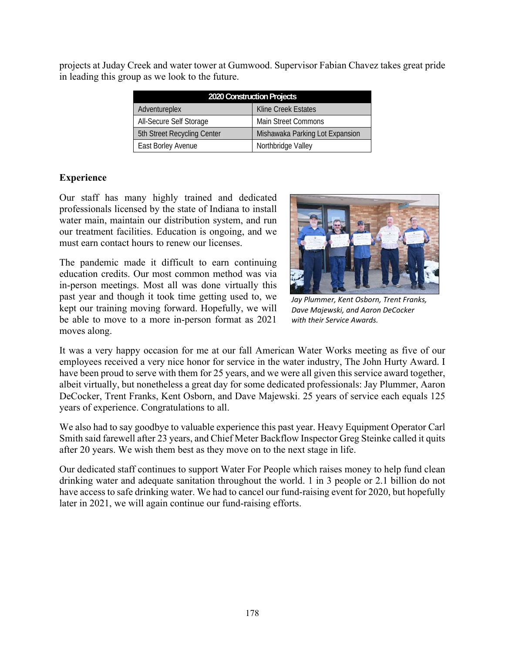| 2020 Construction Projects  |                                 |  |  |  |  |  |
|-----------------------------|---------------------------------|--|--|--|--|--|
| Adventureplex               | Kline Creek Estates             |  |  |  |  |  |
| All-Secure Self Storage     | <b>Main Street Commons</b>      |  |  |  |  |  |
| 5th Street Recycling Center | Mishawaka Parking Lot Expansion |  |  |  |  |  |
| East Borley Avenue          | Northbridge Valley              |  |  |  |  |  |

projects at Juday Creek and water tower at Gumwood. Supervisor Fabian Chavez takes great pride in leading this group as we look to the future.

#### **Experience**

Our staff has many highly trained and dedicated professionals licensed by the state of Indiana to install water main, maintain our distribution system, and run our treatment facilities. Education is ongoing, and we must earn contact hours to renew our licenses.

The pandemic made it difficult to earn continuing education credits. Our most common method was via in-person meetings. Most all was done virtually this past year and though it took time getting used to, we kept our training moving forward. Hopefully, we will be able to move to a more in-person format as 2021 moves along.



*Jay Plummer, Kent Osborn, Trent Franks, Dave Majewski, and Aaron DeCocker with their Service Awards.* 

It was a very happy occasion for me at our fall American Water Works meeting as five of our employees received a very nice honor for service in the water industry, The John Hurty Award. I have been proud to serve with them for 25 years, and we were all given this service award together, albeit virtually, but nonetheless a great day for some dedicated professionals: Jay Plummer, Aaron DeCocker, Trent Franks, Kent Osborn, and Dave Majewski. 25 years of service each equals 125 years of experience. Congratulations to all.

We also had to say goodbye to valuable experience this past year. Heavy Equipment Operator Carl Smith said farewell after 23 years, and Chief Meter Backflow Inspector Greg Steinke called it quits after 20 years. We wish them best as they move on to the next stage in life.

Our dedicated staff continues to support Water For People which raises money to help fund clean drinking water and adequate sanitation throughout the world. 1 in 3 people or 2.1 billion do not have access to safe drinking water. We had to cancel our fund-raising event for 2020, but hopefully later in 2021, we will again continue our fund-raising efforts.